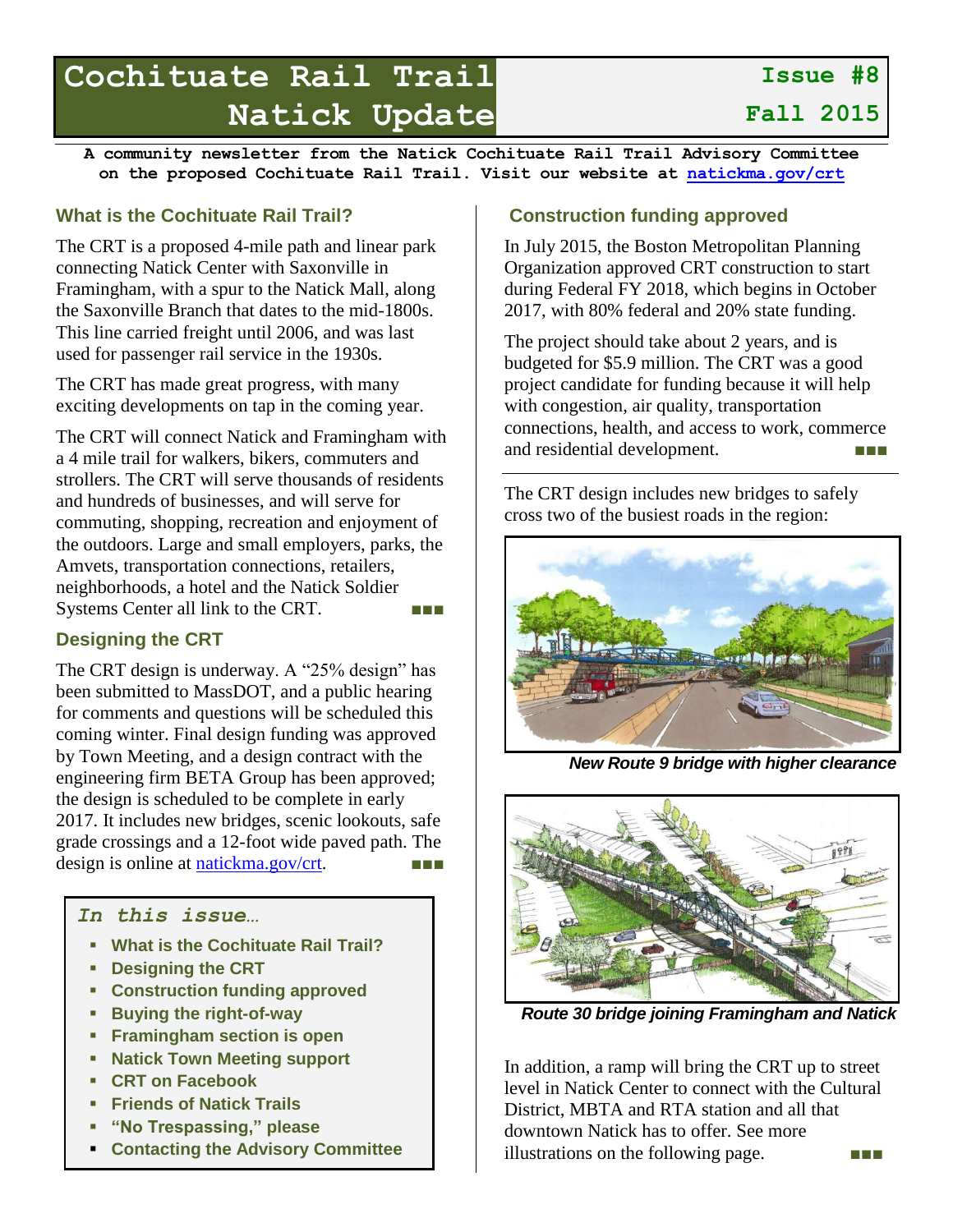# **Cochituate Rail Trail Natick Update**

**Fall 2015**

**Issue #8**

**A community newsletter from the Natick Cochituate Rail Trail Advisory Committee on the proposed Cochituate Rail Trail. Visit our website at [natickma.gov/crt](http://natickma.gov/crt)**

#### **What is the Cochituate Rail Trail?**

The CRT is a proposed 4-mile path and linear park connecting Natick Center with Saxonville in Framingham, with a spur to the Natick Mall, along the Saxonville Branch that dates to the mid-1800s. This line carried freight until 2006, and was last used for passenger rail service in the 1930s.

The CRT has made great progress, with many exciting developments on tap in the coming year.

The CRT will connect Natick and Framingham with a 4 mile trail for walkers, bikers, commuters and strollers. The CRT will serve thousands of residents and hundreds of businesses, and will serve for commuting, shopping, recreation and enjoyment of the outdoors. Large and small employers, parks, the Amvets, transportation connections, retailers, neighborhoods, a hotel and the Natick Soldier Systems Center all link to the CRT.

# **Designing the CRT**

The CRT design is underway. A "25% design" has been submitted to MassDOT, and a public hearing for comments and questions will be scheduled this coming winter. Final design funding was approved by Town Meeting, and a design contract with the engineering firm BETA Group has been approved; the design is scheduled to be complete in early 2017. It includes new bridges, scenic lookouts, safe grade crossings and a 12-foot wide paved path. The design is online at [natickma.gov/crt.](http://natickma.gov/crt)

## *In this issue…*

- **What is the Cochituate Rail Trail?**
- **Designing the CRT**
- **Construction funding approved**
- **Buying the right-of-way**
- **Framingham section is open**
- **Natick Town Meeting support**
- **CRT on Facebook**
- **Friends of Natick Trails**
- **"No Trespassing," please**
- **Contacting the Advisory Committee**

## **Construction funding approved**

In July 2015, the Boston Metropolitan Planning Organization approved CRT construction to start during Federal FY 2018, which begins in October 2017, with 80% federal and 20% state funding.

The project should take about 2 years, and is budgeted for \$5.9 million. The CRT was a good project candidate for funding because it will help with congestion, air quality, transportation connections, health, and access to work, commerce and residential development.

The CRT design includes new bridges to safely cross two of the busiest roads in the region:



*New Route 9 bridge with higher clearance*



*Route 30 bridge joining Framingham and Natick*

In addition, a ramp will bring the CRT up to street level in Natick Center to connect with the Cultural District, MBTA and RTA station and all that downtown Natick has to offer. See more illustrations on the following page. ■■■